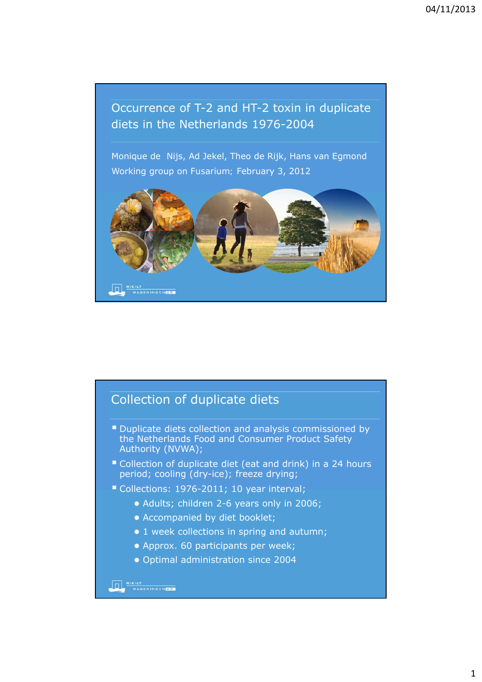## Occurrence of T-2 and HT-2 toxin in duplicate diets in the Netherlands 1976-2004

Monique de Nijs, Ad Jekel, Theo de Rijk, Hans van Egmond Working group on *Fusarium;* February 3, 2012



## Collection of duplicate diets

- Duplicate diets collection and analysis commissioned by the Netherlands Food and Consumer Product Safety Authority (NVWA);
- Collection of duplicate diet (eat and drink) in a 24 hours period; cooling (dry-ice); freeze drying;
- Collections: 1976-2011; 10 year interval;
	- Adults; children 2-6 years only in 2006;
	- Accompanied by diet booklet;
	- 1 week collections in spring and autumn;
	- Approx. 60 participants per week;
	- Optimal administration since 2004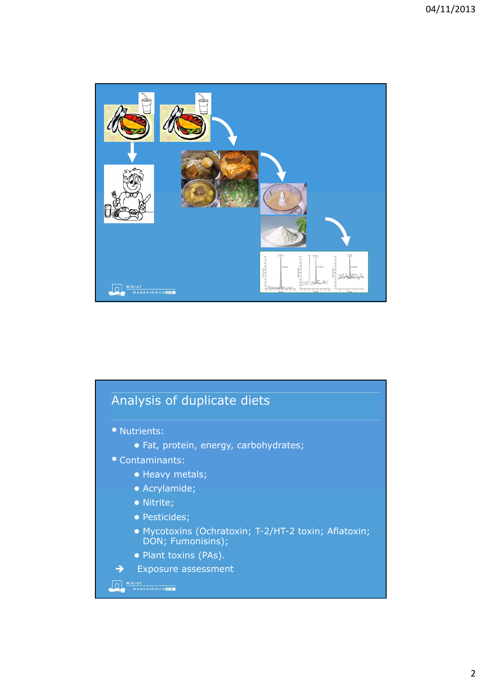

## Analysis of duplicate diets **Nutrients:** ● Fat, protein, energy, carbohydrates; Contaminants: ● Heavy metals; ● Acrylamide; ● Nitrite; ● Pesticides; ● Mycotoxins (Ochratoxin; T-2/HT-2 toxin; Aflatoxin; DON; Fumonisins); ● Plant toxins (PAs).  $\rightarrow$  Exposure assessment **THE RIKILT** WASENINGEN**ER**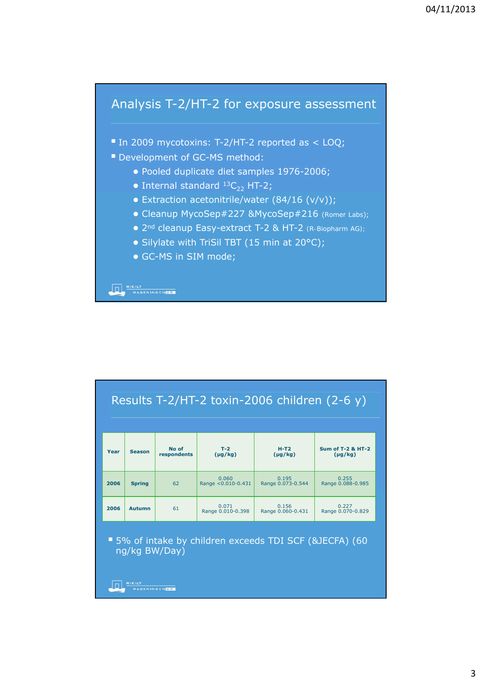## Analysis T-2/HT-2 for exposure assessment

■ In 2009 mycotoxins: T-2/HT-2 reported as < LOQ;

- Development of GC-MS method:
	- Pooled duplicate diet samples 1976-2006;
	- Internal standard  ${}^{13}C_{22}$  HT-2;
	- Extraction acetonitrile/water  $(84/16 (v/v));$
	- Cleanup MycoSep#227 &MycoSep#216 (*Romer Labs*);
	- 2nd cleanup Easy-extract T-2 & HT-2 *(R-Biopharm AG);*
	- Silylate with TriSil TBT (15 min at 20°C);
	- GC-MS in SIM mode;

**THE RIKILT**<br>WAGENINGEN**DE** 

| Results T-2/HT-2 toxin-2006 children (2-6 y)                             |               |                      |                             |                            |                                              |
|--------------------------------------------------------------------------|---------------|----------------------|-----------------------------|----------------------------|----------------------------------------------|
| Year                                                                     | <b>Season</b> | No of<br>respondents | $T-2$<br>$(\mu q/kg)$       | $H-T2$<br>$(\mu g/kg)$     | <b>Sum of T-2 &amp; HT-2</b><br>$(\mu g/kg)$ |
| 2006                                                                     | <b>Spring</b> | 62                   | 0.060<br>Range <0.010-0.431 | 0.195<br>Range 0.073-0.544 | 0.255<br>Range 0.088-0.985                   |
| 2006                                                                     | <b>Autumn</b> | 61                   | 0.071<br>Range 0.010-0.398  | 0.156<br>Range 0.060-0.431 | 0.227<br>Range 0.070-0.829                   |
| ■ 5% of intake by children exceeds TDI SCF (&JECFA) (60<br>ng/kg BW/Day) |               |                      |                             |                            |                                              |
| <b>RIKILT</b><br><b>GENINGENTE</b>                                       |               |                      |                             |                            |                                              |

3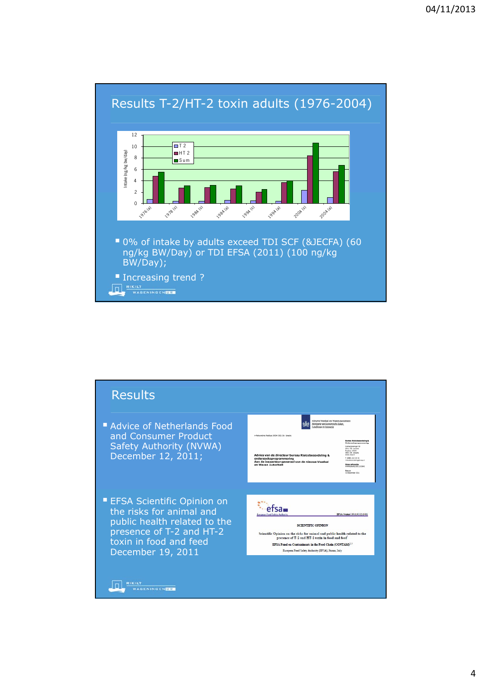

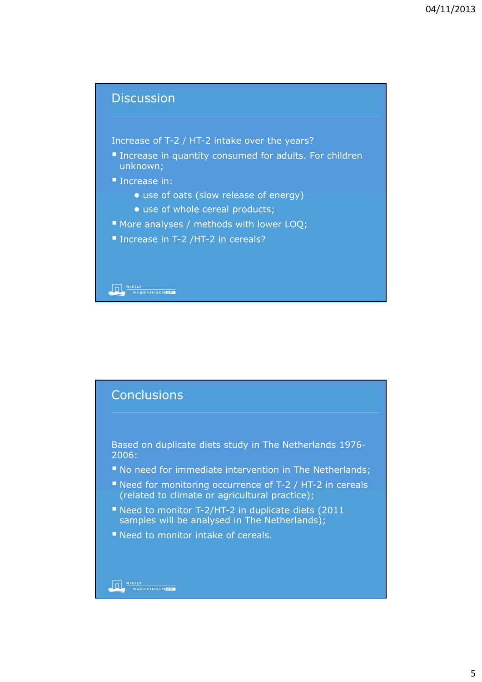